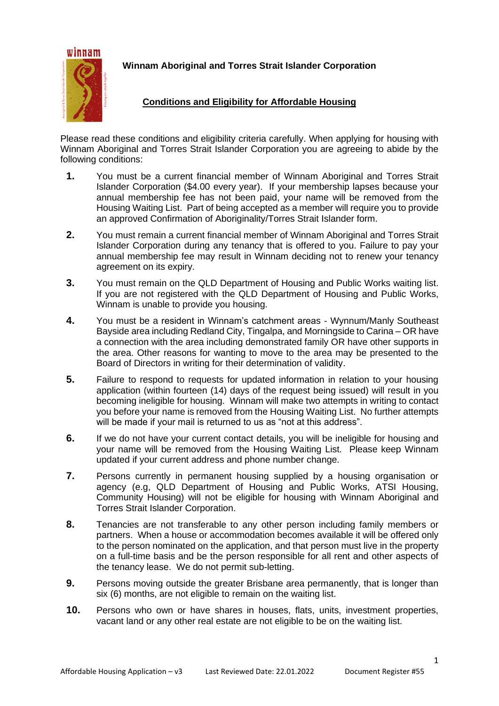

**Winnam Aboriginal and Torres Strait Islander Corporation**

## **Conditions and Eligibility for Affordable Housing**

Please read these conditions and eligibility criteria carefully. When applying for housing with Winnam Aboriginal and Torres Strait Islander Corporation you are agreeing to abide by the following conditions:

- **1.** You must be a current financial member of Winnam Aboriginal and Torres Strait Islander Corporation (\$4.00 every year). If your membership lapses because your annual membership fee has not been paid, your name will be removed from the Housing Waiting List. Part of being accepted as a member will require you to provide an approved Confirmation of Aboriginality/Torres Strait Islander form.
- **2.** You must remain a current financial member of Winnam Aboriginal and Torres Strait Islander Corporation during any tenancy that is offered to you. Failure to pay your annual membership fee may result in Winnam deciding not to renew your tenancy agreement on its expiry.
- **3.** You must remain on the QLD Department of Housing and Public Works waiting list. If you are not registered with the QLD Department of Housing and Public Works, Winnam is unable to provide you housing.
- **4.** You must be a resident in Winnam's catchment areas Wynnum/Manly Southeast Bayside area including Redland City, Tingalpa, and Morningside to Carina – OR have a connection with the area including demonstrated family OR have other supports in the area. Other reasons for wanting to move to the area may be presented to the Board of Directors in writing for their determination of validity.
- **5.** Failure to respond to requests for updated information in relation to your housing application (within fourteen (14) days of the request being issued) will result in you becoming ineligible for housing. Winnam will make two attempts in writing to contact you before your name is removed from the Housing Waiting List. No further attempts will be made if your mail is returned to us as "not at this address".
- **6.** If we do not have your current contact details, you will be ineligible for housing and your name will be removed from the Housing Waiting List. Please keep Winnam updated if your current address and phone number change.
- **7.** Persons currently in permanent housing supplied by a housing organisation or agency (e.g, QLD Department of Housing and Public Works, ATSI Housing, Community Housing) will not be eligible for housing with Winnam Aboriginal and Torres Strait Islander Corporation.
- **8.** Tenancies are not transferable to any other person including family members or partners. When a house or accommodation becomes available it will be offered only to the person nominated on the application, and that person must live in the property on a full-time basis and be the person responsible for all rent and other aspects of the tenancy lease. We do not permit sub-letting.
- **9.** Persons moving outside the greater Brisbane area permanently, that is longer than six (6) months, are not eligible to remain on the waiting list.
- **10.** Persons who own or have shares in houses, flats, units, investment properties, vacant land or any other real estate are not eligible to be on the waiting list.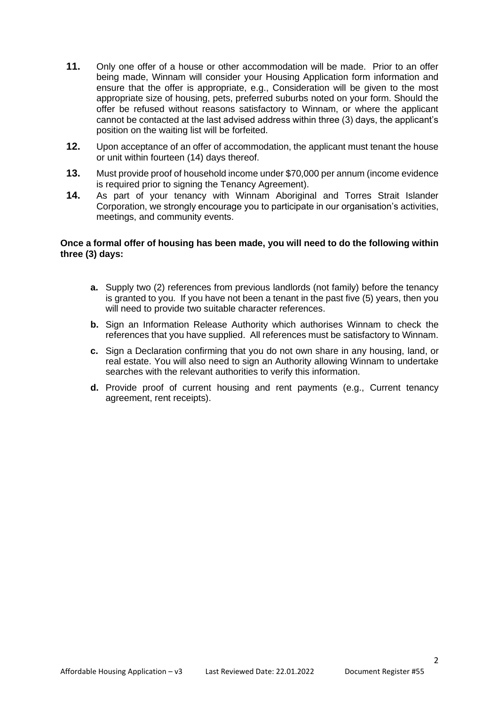- **11.** Only one offer of a house or other accommodation will be made. Prior to an offer being made, Winnam will consider your Housing Application form information and ensure that the offer is appropriate, e.g., Consideration will be given to the most appropriate size of housing, pets, preferred suburbs noted on your form. Should the offer be refused without reasons satisfactory to Winnam, or where the applicant cannot be contacted at the last advised address within three (3) days, the applicant's position on the waiting list will be forfeited.
- **12.** Upon acceptance of an offer of accommodation, the applicant must tenant the house or unit within fourteen (14) days thereof.
- **13.** Must provide proof of household income under \$70,000 per annum (income evidence is required prior to signing the Tenancy Agreement).
- **14.** As part of your tenancy with Winnam Aboriginal and Torres Strait Islander Corporation, we strongly encourage you to participate in our organisation's activities, meetings, and community events.

#### **Once a formal offer of housing has been made, you will need to do the following within three (3) days:**

- **a.** Supply two (2) references from previous landlords (not family) before the tenancy is granted to you. If you have not been a tenant in the past five (5) years, then you will need to provide two suitable character references.
- **b.** Sign an Information Release Authority which authorises Winnam to check the references that you have supplied. All references must be satisfactory to Winnam.
- **c.** Sign a Declaration confirming that you do not own share in any housing, land, or real estate. You will also need to sign an Authority allowing Winnam to undertake searches with the relevant authorities to verify this information.
- **d.** Provide proof of current housing and rent payments (e.g., Current tenancy agreement, rent receipts).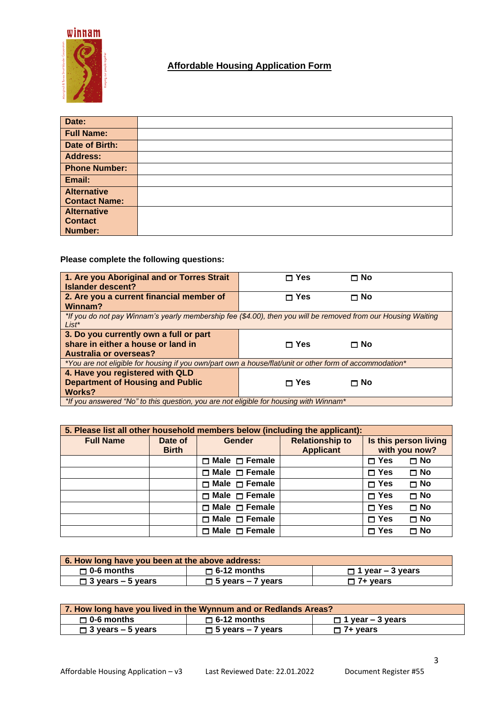

# **Affordable Housing Application Form**

| Date:                |  |
|----------------------|--|
| <b>Full Name:</b>    |  |
| Date of Birth:       |  |
| <b>Address:</b>      |  |
| <b>Phone Number:</b> |  |
| Email:               |  |
| <b>Alternative</b>   |  |
| <b>Contact Name:</b> |  |
| <b>Alternative</b>   |  |
| <b>Contact</b>       |  |
| <b>Number:</b>       |  |

## **Please complete the following questions:**

| 1. Are you Aboriginal and or Torres Strait<br>Islander descent?                                                           | $\sqcap$ Yes<br>Π No |  |  |
|---------------------------------------------------------------------------------------------------------------------------|----------------------|--|--|
| 2. Are you a current financial member of<br>Winnam?                                                                       | $\sqcap$ Yes<br>⊓ No |  |  |
| *If you do not pay Winnam's yearly membership fee (\$4.00), then you will be removed from our Housing Waiting<br>$List^*$ |                      |  |  |
| 3. Do you currently own a full or part                                                                                    |                      |  |  |
| share in either a house or land in                                                                                        | ⊟ Yes<br>$\Box$ No   |  |  |
| <b>Australia or overseas?</b>                                                                                             |                      |  |  |
| *You are not eligible for housing if you own/part own a house/flat/unit or other form of accommodation*                   |                      |  |  |
| 4. Have you registered with QLD                                                                                           |                      |  |  |
| <b>Department of Housing and Public</b>                                                                                   | ⊓ Yes<br>⊓ No        |  |  |
| <b>Works?</b>                                                                                                             |                      |  |  |
| *If you answered "No" to this question, you are not eligible for housing with Winnam*                                     |                      |  |  |

| 5. Please list all other household members below (including the applicant): |                         |                           |                                            |               |                                        |
|-----------------------------------------------------------------------------|-------------------------|---------------------------|--------------------------------------------|---------------|----------------------------------------|
| <b>Full Name</b>                                                            | Date of<br><b>Birth</b> | <b>Gender</b>             | <b>Relationship to</b><br><b>Applicant</b> |               | Is this person living<br>with you now? |
|                                                                             |                         | $\Box$ Male $\Box$ Female |                                            | $\square$ Yes | $\square$ No                           |
|                                                                             |                         | $\Box$ Male $\Box$ Female |                                            | $\Box$ Yes    | $\square$ No                           |
|                                                                             |                         | $\Box$ Male $\Box$ Female |                                            | $\Box$ Yes    | $\Box$ No                              |
|                                                                             |                         | $\Box$ Male $\Box$ Female |                                            | $\Box$ Yes    | $\Box$ No                              |
|                                                                             |                         | $\Box$ Male $\Box$ Female |                                            | $\Box$ Yes    | $\Box$ No                              |
|                                                                             |                         | $\Box$ Male $\Box$ Female |                                            | $\Box$ Yes    | י No                                   |
|                                                                             |                         | $\Box$ Male $\Box$ Female |                                            | $\Box$ Yes    | Π No                                   |

| 6. How long have you been at the above address: |                          |                         |  |  |
|-------------------------------------------------|--------------------------|-------------------------|--|--|
| $\Box$ 0-6 months                               | $\Box$ 6-12 months       | $\Box$ 1 year – 3 years |  |  |
| $\Box$ 3 years – 5 years                        | $\Box$ 5 years – 7 years | $\square$ 7+ years      |  |  |

| 7. How long have you lived in the Wynnum and or Redlands Areas? |                          |                         |  |
|-----------------------------------------------------------------|--------------------------|-------------------------|--|
| $\Box$ 0-6 months                                               | $\Box$ 6-12 months       | $\Box$ 1 year – 3 years |  |
| $\Box$ 3 years – 5 years                                        | $\Box$ 5 years – 7 years | $\Box$ 7+ years         |  |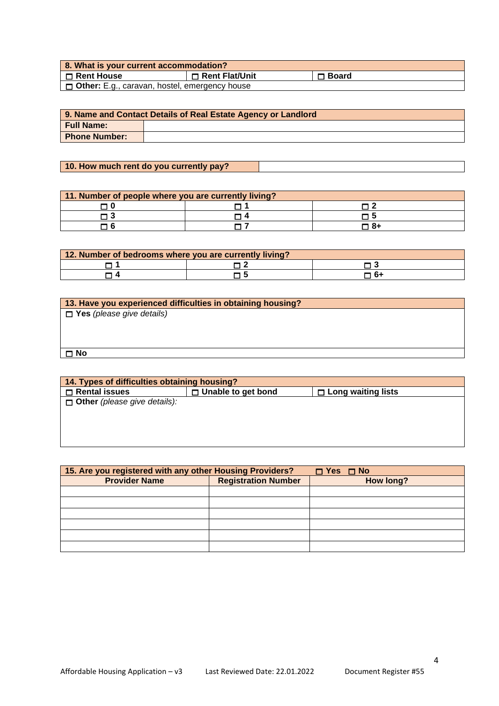| 8. What is your current accommodation?                 |                  |              |  |
|--------------------------------------------------------|------------------|--------------|--|
| l □ Rent House                                         | □ Rent Flat/Unit | $\Box$ Board |  |
| <b>D</b> Other: E.g., caravan, hostel, emergency house |                  |              |  |

| 9. Name and Contact Details of Real Estate Agency or Landlord |  |  |
|---------------------------------------------------------------|--|--|
| <b>Full Name:</b>                                             |  |  |
| <b>Phone Number:</b>                                          |  |  |

## **10. How much rent do you currently pay?**

| 11. Number of people where you are currently living? |  |      |  |
|------------------------------------------------------|--|------|--|
|                                                      |  |      |  |
|                                                      |  |      |  |
|                                                      |  | ד 8+ |  |

| 12. Number of bedrooms where you are currently living? |  |      |  |  |
|--------------------------------------------------------|--|------|--|--|
|                                                        |  |      |  |  |
|                                                        |  | ี 6- |  |  |

| 13. Have you experienced difficulties in obtaining housing? |
|-------------------------------------------------------------|
| <b>T</b> Yes (please give details)                          |
|                                                             |
|                                                             |
|                                                             |
| $\Box$ No                                                   |
|                                                             |

| 14. Types of difficulties obtaining housing? |                           |                           |  |
|----------------------------------------------|---------------------------|---------------------------|--|
| $\Box$ Rental issues                         | $\Box$ Unable to get bond | $\Box$ Long waiting lists |  |
| <b>Other</b> (please give details):          |                           |                           |  |
|                                              |                           |                           |  |
|                                              |                           |                           |  |
|                                              |                           |                           |  |

| 15. Are you registered with any other Housing Providers? | $\Box$ Yes $\Box$ No |           |
|----------------------------------------------------------|----------------------|-----------|
| <b>Registration Number</b><br><b>Provider Name</b>       |                      | How long? |
|                                                          |                      |           |
|                                                          |                      |           |
|                                                          |                      |           |
|                                                          |                      |           |
|                                                          |                      |           |
|                                                          |                      |           |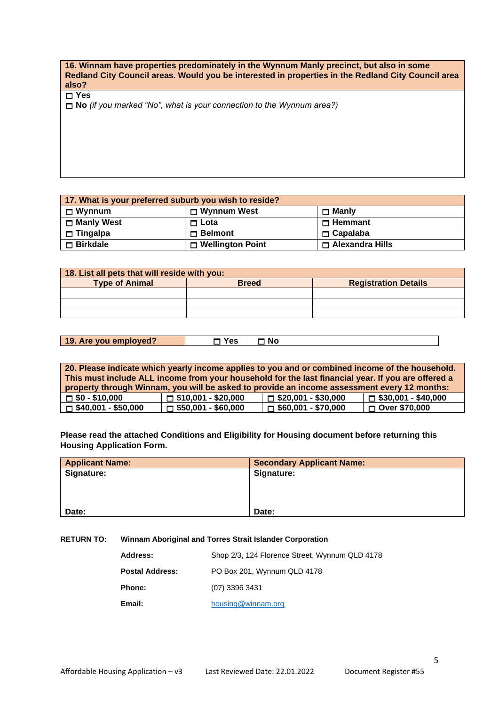**16. Winnam have properties predominately in the Wynnum Manly precinct, but also in some Redland City Council areas. Would you be interested in properties in the Redland City Council area also?**

**Yes** 

**No** *(if you marked "No", what is your connection to the Wynnum area?)*

**17. What is your preferred suburb you wish to reside?**  $\Box$  **Wynnum**  $\Box$  **Mynnum** West  $\Box$  **Manly**  $\Box$  **Manly West D** Lota **D** Lota **D** Hemmant **Tingalpa Belmont Capalaba**  $\Box$  **Birkdale**  $\Box$  **Wellington Point**  $\Box$  **Alexandra Hills** 

| 18. List all pets that will reside with you: |              |                             |
|----------------------------------------------|--------------|-----------------------------|
| <b>Type of Animal</b>                        | <b>Breed</b> | <b>Registration Details</b> |
|                                              |              |                             |
|                                              |              |                             |
|                                              |              |                             |

| 19. Are you employed? | No<br>$\epsilon$ |  |
|-----------------------|------------------|--|
|                       |                  |  |

| 20. Please indicate which yearly income applies to you and or combined income of the household.    |                            |                            |                            |
|----------------------------------------------------------------------------------------------------|----------------------------|----------------------------|----------------------------|
| This must include ALL income from your household for the last financial year. If you are offered a |                            |                            |                            |
| property through Winnam, you will be asked to provide an income assessment every 12 months:        |                            |                            |                            |
| $\Box$ \$0 - \$10,000                                                                              | $\Box$ \$10,001 - \$20,000 | $\Box$ \$20,001 - \$30,000 | $\Box$ \$30,001 - \$40,000 |
| $\Box$ \$40,001 - \$50,000                                                                         | $\Box$ \$50,001 - \$60,000 | $\Box$ \$60,001 - \$70,000 | $\Box$ Over \$70,000       |

**Please read the attached Conditions and Eligibility for Housing document before returning this Housing Application Form.**

| <b>Applicant Name:</b> | <b>Secondary Applicant Name:</b> |
|------------------------|----------------------------------|
| Signature:             | Signature:                       |
|                        |                                  |
|                        |                                  |
|                        |                                  |
| Date:                  | Date:                            |

**RETURN TO: Winnam Aboriginal and Torres Strait Islander Corporation**

| Address:        | Shop 2/3, 124 Florence Street, Wynnum QLD 4178 |
|-----------------|------------------------------------------------|
| Postal Address: | PO Box 201, Wynnum QLD 4178                    |
| Phone:          | (07) 3396 3431                                 |
| Email:          | housing@winnam.org                             |
|                 |                                                |